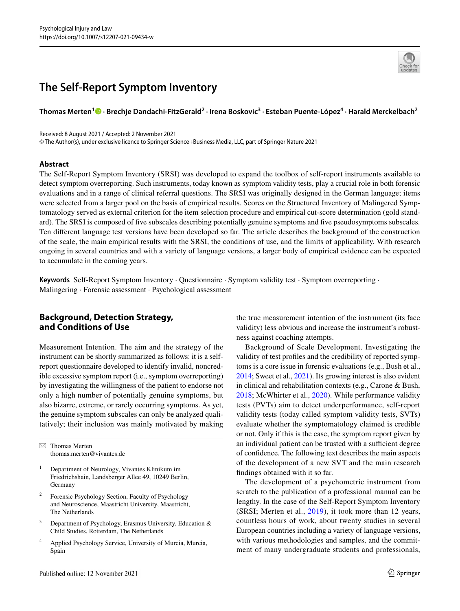# **The Self‑Report Symptom Inventory**

## **Thomas Merten<sup>1</sup> · Brechje Dandachi‑FitzGerald2 · Irena Boskovic3 · Esteban Puente‑López4 · Harald Merckelbach2**

Received: 8 August 2021 / Accepted: 2 November 2021

© The Author(s), under exclusive licence to Springer Science+Business Media, LLC, part of Springer Nature 2021

#### **Abstract**

The Self-Report Symptom Inventory (SRSI) was developed to expand the toolbox of self-report instruments available to detect symptom overreporting. Such instruments, today known as symptom validity tests, play a crucial role in both forensic evaluations and in a range of clinical referral questions. The SRSI was originally designed in the German language; items were selected from a larger pool on the basis of empirical results. Scores on the Structured Inventory of Malingered Symptomatology served as external criterion for the item selection procedure and empirical cut-score determination (gold standard). The SRSI is composed of fve subscales describing potentially genuine symptoms and fve pseudosymptoms subscales. Ten diferent language test versions have been developed so far. The article describes the background of the construction of the scale, the main empirical results with the SRSI, the conditions of use, and the limits of applicability. With research ongoing in several countries and with a variety of language versions, a larger body of empirical evidence can be expected to accumulate in the coming years.

**Keywords** Self-Report Symptom Inventory · Questionnaire · Symptom validity test · Symptom overreporting · Malingering · Forensic assessment · Psychological assessment

# **Background, Detection Strategy, and Conditions of Use**

Measurement Intention. The aim and the strategy of the instrument can be shortly summarized as follows: it is a selfreport questionnaire developed to identify invalid, noncredible excessive symptom report (i.e., symptom overreporting) by investigating the willingness of the patient to endorse not only a high number of potentially genuine symptoms, but also bizarre, extreme, or rarely occurring symptoms. As yet, the genuine symptom subscales can only be analyzed qualitatively; their inclusion was mainly motivated by making

 $\boxtimes$  Thomas Merten thomas.merten@vivantes.de

- <sup>1</sup> Department of Neurology, Vivantes Klinikum im Friedrichshain, Landsberger Allee 49, 10249 Berlin, Germany
- Forensic Psychology Section, Faculty of Psychology and Neuroscience, Maastricht University, Maastricht, The Netherlands
- <sup>3</sup> Department of Psychology, Erasmus University, Education & Child Studies, Rotterdam, The Netherlands
- <sup>4</sup> Applied Psychology Service, University of Murcia, Murcia, Spain

the true measurement intention of the instrument (its face validity) less obvious and increase the instrument's robustness against coaching attempts.

Background of Scale Development. Investigating the validity of test profles and the credibility of reported symptoms is a core issue in forensic evaluations (e.g., Bush et al., [2014](#page-7-0); Sweet et al., [2021\)](#page-8-0). Its growing interest is also evident in clinical and rehabilitation contexts (e.g., Carone & Bush, [2018](#page-7-1); McWhirter et al., [2020](#page-8-1)). While performance validity tests (PVTs) aim to detect underperformance, self-report validity tests (today called symptom validity tests, SVTs) evaluate whether the symptomatology claimed is credible or not. Only if this is the case, the symptom report given by an individual patient can be trusted with a sufficient degree of confdence. The following text describes the main aspects of the development of a new SVT and the main research fndings obtained with it so far.

The development of a psychometric instrument from scratch to the publication of a professional manual can be lengthy. In the case of the Self-Report Symptom Inventory (SRSI; Merten et al., [2019](#page-8-2)), it took more than 12 years, countless hours of work, about twenty studies in several European countries including a variety of language versions, with various methodologies and samples, and the commitment of many undergraduate students and professionals,

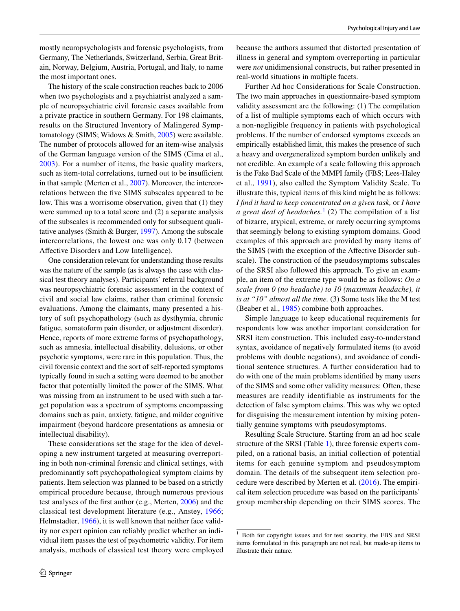The history of the scale construction reaches back to 2006 when two psychologists and a psychiatrist analyzed a sample of neuropsychiatric civil forensic cases available from a private practice in southern Germany. For 198 claimants, results on the Structured Inventory of Malingered Symptomatology (SIMS; Widows & Smith, [2005](#page-9-0)) were available. The number of protocols allowed for an item-wise analysis of the German language version of the SIMS (Cima et al., [2003\)](#page-7-2). For a number of items, the basic quality markers, such as item-total correlations, turned out to be insufficient in that sample (Merten et al., [2007](#page-8-3)). Moreover, the intercorrelations between the fve SIMS subscales appeared to be low. This was a worrisome observation, given that (1) they were summed up to a total score and (2) a separate analysis of the subscales is recommended only for subsequent qualitative analyses (Smith & Burger, [1997](#page-8-4)). Among the subscale intercorrelations, the lowest one was only 0.17 (between Afective Disorders and Low Intelligence).

One consideration relevant for understanding those results was the nature of the sample (as is always the case with classical test theory analyses). Participants' referral background was neuropsychiatric forensic assessment in the context of civil and social law claims, rather than criminal forensic evaluations. Among the claimants, many presented a history of soft psychopathology (such as dysthymia, chronic fatigue, somatoform pain disorder, or adjustment disorder). Hence, reports of more extreme forms of psychopathology, such as amnesia, intellectual disability, delusions, or other psychotic symptoms, were rare in this population. Thus, the civil forensic context and the sort of self-reported symptoms typically found in such a setting were deemed to be another factor that potentially limited the power of the SIMS. What was missing from an instrument to be used with such a target population was a spectrum of symptoms encompassing domains such as pain, anxiety, fatigue, and milder cognitive impairment (beyond hardcore presentations as amnesia or intellectual disability).

These considerations set the stage for the idea of developing a new instrument targeted at measuring overreporting in both non-criminal forensic and clinical settings, with predominantly soft psychopathological symptom claims by patients. Item selection was planned to be based on a strictly empirical procedure because, through numerous previous test analyses of the frst author (e.g., Merten, [2006\)](#page-8-5) and the classical test development literature (e.g., Anstey, [1966](#page-7-3); Helmstadter, [1966](#page-8-6)), it is well known that neither face validity nor expert opinion can reliably predict whether an individual item passes the test of psychometric validity. For item analysis, methods of classical test theory were employed because the authors assumed that distorted presentation of illness in general and symptom overreporting in particular were *not* unidimensional constructs, but rather presented in real-world situations in multiple facets.

Further Ad hoc Considerations for Scale Construction. The two main approaches in questionnaire-based symptom validity assessment are the following: (1) The compilation of a list of multiple symptoms each of which occurs with a non-negligible frequency in patients with psychological problems. If the number of endorsed symptoms exceeds an empirically established limit, this makes the presence of such a heavy and overgeneralized symptom burden unlikely and not credible. An example of a scale following this approach is the Fake Bad Scale of the MMPI family (FBS; Lees-Haley et al., [1991](#page-8-7)), also called the Symptom Validity Scale. To illustrate this, typical items of this kind might be as follows: *I fnd it hard to keep concentrated on a given task,* or *I have a great deal of headaches.*[1](#page-1-0) (2) The compilation of a list of bizarre, atypical, extreme, or rarely occurring symptoms that seemingly belong to existing symptom domains. Good examples of this approach are provided by many items of the SIMS (with the exception of the Afective Disorder subscale). The construction of the pseudosymptoms subscales of the SRSI also followed this approach. To give an example, an item of the extreme type would be as follows: *On a scale from 0 (no headache) to 10 (maximum headache), it is at "10" almost all the time.* (3) Some tests like the M test (Beaber et al., [1985](#page-7-4)) combine both approaches.

Simple language to keep educational requirements for respondents low was another important consideration for SRSI item construction. This included easy-to-understand syntax, avoidance of negatively formulated items (to avoid problems with double negations), and avoidance of conditional sentence structures. A further consideration had to do with one of the main problems identifed by many users of the SIMS and some other validity measures: Often, these measures are readily identifiable as instruments for the detection of false symptom claims. This was why we opted for disguising the measurement intention by mixing potentially genuine symptoms with pseudosymptoms.

Resulting Scale Structure. Starting from an ad hoc scale structure of the SRSI (Table [1\)](#page-2-0), three forensic experts compiled, on a rational basis, an initial collection of potential items for each genuine symptom and pseudosymptom domain. The details of the subsequent item selection procedure were described by Merten et al. ([2016\)](#page-8-8). The empirical item selection procedure was based on the participants' group membership depending on their SIMS scores. The

<span id="page-1-0"></span><sup>1</sup> Both for copyright issues and for test security, the FBS and SRSI items formulated in this paragraph are not real, but made-up items to illustrate their nature.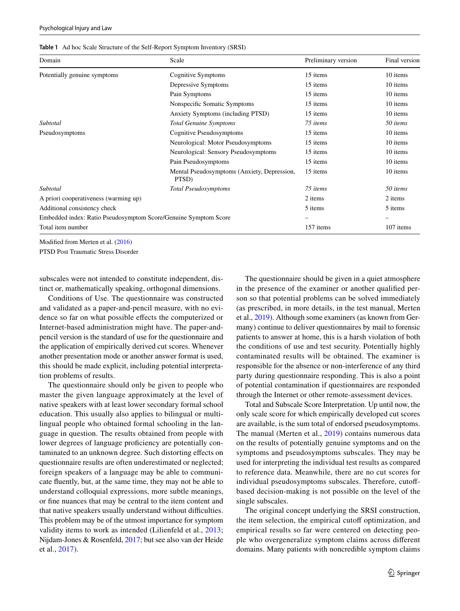<span id="page-2-0"></span>

|  |  |  | Table 1 Ad hoc Scale Structure of the Self-Report Symptom Inventory (SRSI) |  |
|--|--|--|----------------------------------------------------------------------------|--|
|--|--|--|----------------------------------------------------------------------------|--|

| Domain                                                          | Scale                                                | Preliminary version | Final version |
|-----------------------------------------------------------------|------------------------------------------------------|---------------------|---------------|
| Potentially genuine symptoms                                    | Cognitive Symptoms                                   | 15 items            | 10 items      |
|                                                                 | Depressive Symptoms                                  | 15 items            | 10 items      |
|                                                                 | Pain Symptoms                                        | 15 items            | 10 items      |
|                                                                 | Nonspecific Somatic Symptoms                         | 15 items            | 10 items      |
|                                                                 | Anxiety Symptoms (including PTSD)                    | 15 items            | 10 items      |
| Subtotal                                                        | <b>Total Genuine Symptoms</b>                        | 75 items            | 50 items      |
| Pseudosymptoms                                                  | Cognitive Pseudosymptoms                             | 15 items            | 10 items      |
|                                                                 | Neurological: Motor Pseudosymptoms                   | 15 items            | 10 items      |
|                                                                 | Neurological: Sensory Pseudosymptoms                 | 15 items            | 10 items      |
|                                                                 | Pain Pseudosymptoms                                  | 15 items            | 10 items      |
|                                                                 | Mental Pseudosymptoms (Anxiety, Depression,<br>PTSD) | 15 items            | 10 items      |
| Subtotal                                                        | <b>Total Pseudosymptoms</b>                          | 75 items            | 50 items      |
| A priori cooperativeness (warming up)                           | 2 items                                              | 2 items             |               |
| Additional consistency check                                    | 5 items                                              | 5 items             |               |
| Embedded index: Ratio Pseudosymptom Score/Genuine Symptom Score |                                                      |                     |               |
| Total item number                                               | 157 items                                            | 107 items           |               |

Modifed from Merten et al. [\(2016](#page-8-8))

PTSD Post Traumatic Stress Disorder

subscales were not intended to constitute independent, distinct or, mathematically speaking, orthogonal dimensions.

Conditions of Use. The questionnaire was constructed and validated as a paper-and-pencil measure, with no evidence so far on what possible efects the computerized or Internet-based administration might have. The paper-andpencil version is the standard of use for the questionnaire and the application of empirically derived cut scores. Whenever another presentation mode or another answer format is used, this should be made explicit, including potential interpretation problems of results.

The questionnaire should only be given to people who master the given language approximately at the level of native speakers with at least lower secondary formal school education. This usually also applies to bilingual or multilingual people who obtained formal schooling in the language in question. The results obtained from people with lower degrees of language proficiency are potentially contaminated to an unknown degree. Such distorting efects on questionnaire results are often underestimated or neglected; foreign speakers of a language may be able to communicate fuently, but, at the same time, they may not be able to understand colloquial expressions, more subtle meanings, or fne nuances that may be central to the item content and that native speakers usually understand without difficulties. This problem may be of the utmost importance for symptom validity items to work as intended (Lilienfeld et al., [2013](#page-8-9); Nijdam-Jones & Rosenfeld, [2017;](#page-8-10) but see also van der Heide et al., [2017\)](#page-8-11).

The questionnaire should be given in a quiet atmosphere in the presence of the examiner or another qualifed person so that potential problems can be solved immediately (as prescribed, in more details, in the test manual, Merten et al., [2019](#page-8-2)). Although some examiners (as known from Germany) continue to deliver questionnaires by mail to forensic patients to answer at home, this is a harsh violation of both the conditions of use and test security. Potentially highly contaminated results will be obtained. The examiner is responsible for the absence or non-interference of any third party during questionnaire responding. This is also a point of potential contamination if questionnaires are responded through the Internet or other remote-assessment devices.

Total and Subscale Score Interpretation. Up until now, the only scale score for which empirically developed cut scores are available, is the sum total of endorsed pseudosymptoms. The manual (Merten et al., [2019](#page-8-2)) contains numerous data on the results of potentially genuine symptoms and on the symptoms and pseudosymptoms subscales. They may be used for interpreting the individual test results as compared to reference data. Meanwhile, there are no cut scores for individual pseudosymptoms subscales. Therefore, cutoffbased decision-making is not possible on the level of the single subscales.

The original concept underlying the SRSI construction, the item selection, the empirical cutoff optimization, and empirical results so far were centered on detecting people who overgeneralize symptom claims across diferent domains. Many patients with noncredible symptom claims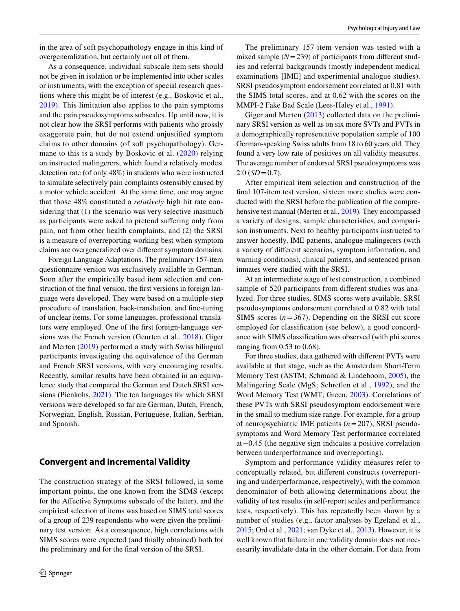As a consequence, individual subscale item sets should not be given in isolation or be implemented into other scales or instruments, with the exception of special research questions where this might be of interest (e.g., Boskovic et al., [2019\)](#page-7-5). This limitation also applies to the pain symptoms and the pain pseudosymptoms subscales. Up until now, it is not clear how the SRSI performs with patients who grossly exaggerate pain, but do not extend unjustifed symptom claims to other domains (of soft psychopathology). Germane to this is a study by Boskovic et al. ([2020](#page-7-6)) relying on instructed malingerers, which found a relatively modest detection rate (of only 48%) in students who were instructed to simulate selectively pain complaints ostensibly caused by a motor vehicle accident. At the same time, one may argue that those 48% constituted a *relatively* high hit rate considering that  $(1)$  the scenario was very selective inasmuch as participants were asked to pretend sufering only from pain, not from other health complaints, and (2) the SRSI is a measure of overreporting working best when symptom claims are overgeneralized over diferent symptom domains.

Foreign Language Adaptations. The preliminary 157-item questionnaire version was exclusively available in German. Soon after the empirically based item selection and construction of the fnal version, the frst versions in foreign language were developed. They were based on a multiple-step procedure of translation, back-translation, and fne-tuning of unclear items. For some languages, professional translators were employed. One of the frst foreign-language versions was the French version (Geurten et al., [2018](#page-7-7)). Giger and Merten ([2019\)](#page-8-12) performed a study with Swiss bilingual participants investigating the equivalence of the German and French SRSI versions, with very encouraging results. Recently, similar results have been obtained in an equivalence study that compared the German and Dutch SRSI versions (Pienkohs, [2021\)](#page-8-13). The ten languages for which SRSI versions were developed so far are German, Dutch, French, Norwegian, English, Russian, Portuguese, Italian, Serbian, and Spanish.

## **Convergent and Incremental Validity**

The construction strategy of the SRSI followed, in some important points, the one known from the SIMS (except for the Afective Symptoms subscale of the latter), and the empirical selection of items was based on SIMS total scores of a group of 239 respondents who were given the preliminary test version. As a consequence, high correlations with SIMS scores were expected (and fnally obtained) both for the preliminary and for the fnal version of the SRSI.

The preliminary 157-item version was tested with a mixed sample  $(N=239)$  of participants from different studies and referral backgrounds (mostly independent medical examinations [IME] and experimental analogue studies). SRSI pseudosymptom endorsement correlated at 0.81 with the SIMS total scores, and at 0.62 with the scores on the MMPI-2 Fake Bad Scale (Lees-Haley et al., [1991\)](#page-8-7).

Giger and Merten ([2013](#page-8-14)) collected data on the preliminary SRSI version as well as on six more SVTs and PVTs in a demographically representative population sample of 100 German-speaking Swiss adults from 18 to 60 years old. They found a very low rate of positives on all validity measures. The average number of endorsed SRSI pseudosymptoms was  $2.0$  (*SD* = 0.7).

After empirical item selection and construction of the fnal 107-item test version, sixteen more studies were conducted with the SRSI before the publication of the comprehensive test manual (Merten et al., [2019\)](#page-8-2). They encompassed a variety of designs, sample characteristics, and comparison instruments. Next to healthy participants instructed to answer honestly, IME patients, analogue malingerers (with a variety of diferent scenarios, symptom information, and warning conditions), clinical patients, and sentenced prison inmates were studied with the SRSI.

At an intermediate stage of test construction, a combined sample of 520 participants from diferent studies was analyzed. For three studies, SIMS scores were available. SRSI pseudosymptoms endorsement correlated at 0.82 with total SIMS scores  $(n=367)$ . Depending on the SRSI cut score employed for classifcation (see below), a good concordance with SIMS classifcation was observed (with phi scores ranging from 0.53 to 0.68).

For three studies, data gathered with diferent PVTs were available at that stage, such as the Amsterdam Short-Term Memory Test (ASTM; Schmand & Lindeboom, [2005](#page-8-15)), the Malingering Scale (MgS; Schretlen et al., [1992](#page-8-16)), and the Word Memory Test (WMT; Green, [2003](#page-8-17)). Correlations of these PVTs with SRSI pseudosymptom endorsement were in the small to medium size range. For example, for a group of neuropsychiatric IME patients (*n*=207), SRSI pseudosymptoms and Word Memory Test performance correlated at−0.45 (the negative sign indicates a positive correlation between underperformance and overreporting).

Symptom and performance validity measures refer to conceptually related, but diferent constructs (overreporting and underperformance, respectively), with the common denominator of both allowing determinations about the validity of test results (in self-report scales and performance tests, respectively). This has repeatedly been shown by a number of studies (e.g., factor analyses by Egeland et al., [2015](#page-7-8); Ord et al., [2021;](#page-8-18) van Dyke et al., [2013\)](#page-8-19). However, it is well known that failure in one validity domain does not necessarily invalidate data in the other domain. For data from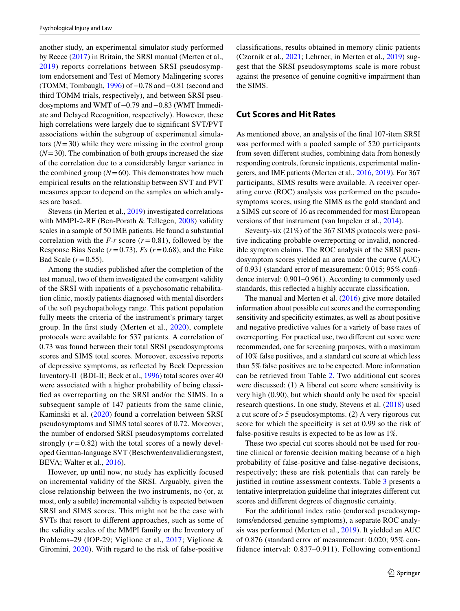another study, an experimental simulator study performed by Reece [\(2017](#page-8-20)) in Britain, the SRSI manual (Merten et al., [2019](#page-8-2)) reports correlations between SRSI pseudosymptom endorsement and Test of Memory Malingering scores (TOMM; Tombaugh, [1996\)](#page-8-21) of−0.78 and−0.81 (second and third TOMM trials, respectively), and between SRSI pseudosymptoms and WMT of−0.79 and−0.83 (WMT Immediate and Delayed Recognition, respectively). However, these high correlations were largely due to signifcant SVT/PVT associations within the subgroup of experimental simulators  $(N=30)$  while they were missing in the control group  $(N=30)$ . The combination of both groups increased the size of the correlation due to a considerably larger variance in the combined group  $(N=60)$ . This demonstrates how much empirical results on the relationship between SVT and PVT measures appear to depend on the samples on which analyses are based.

Stevens (in Merten et al., [2019](#page-8-2)) investigated correlations with MMPI-2-RF (Ben-Porath & Tellegen, [2008\)](#page-7-9) validity scales in a sample of 50 IME patients. He found a substantial correlation with the  $F-r$  score ( $r=0.81$ ), followed by the Response Bias Scale  $(r=0.73)$ ,  $Fs$   $(r=0.68)$ , and the Fake Bad Scale  $(r=0.55)$ .

Among the studies published after the completion of the test manual, two of them investigated the convergent validity of the SRSI with inpatients of a psychosomatic rehabilitation clinic, mostly patients diagnosed with mental disorders of the soft psychopathology range. This patient population fully meets the criteria of the instrument's primary target group. In the frst study (Merten et al., [2020](#page-8-22)), complete protocols were available for 537 patients. A correlation of 0.73 was found between their total SRSI pseudosymptoms scores and SIMS total scores. Moreover, excessive reports of depressive symptoms, as refected by Beck Depression Inventory-II (BDI-II; Beck et al., [1996](#page-7-10)) total scores over 40 were associated with a higher probability of being classifed as overreporting on the SRSI and/or the SIMS. In a subsequent sample of 147 patients from the same clinic, Kaminski et al. ([2020\)](#page-8-23) found a correlation between SRSI pseudosymptoms and SIMS total scores of 0.72. Moreover, the number of endorsed SRSI pseudosymptoms correlated strongly  $(r=0.82)$  with the total scores of a newly developed German-language SVT (Beschwerdenvalidierungstest, BEVA; Walter et al., [2016\)](#page-9-1).

However, up until now, no study has explicitly focused on incremental validity of the SRSI. Arguably, given the close relationship between the two instruments, no (or, at most, only a subtle) incremental validity is expected between SRSI and SIMS scores. This might not be the case with SVTs that resort to diferent approaches, such as some of the validity scales of the MMPI family or the Inventory of Problems–29 (IOP-29; Viglione et al., [2017;](#page-9-2) Viglione & Giromini, [2020\)](#page-9-3). With regard to the risk of false-positive

classifcations, results obtained in memory clinic patients (Czornik et al., [2021](#page-7-11); Lehrner, in Merten et al., [2019\)](#page-8-2) suggest that the SRSI pseudosymptoms scale is more robust against the presence of genuine cognitive impairment than the SIMS.

# **Cut Scores and Hit Rates**

As mentioned above, an analysis of the fnal 107-item SRSI was performed with a pooled sample of 520 participants from seven diferent studies, combining data from honestly responding controls, forensic inpatients, experimental malingerers, and IME patients (Merten et al., [2016](#page-8-8), [2019\)](#page-8-2). For 367 participants, SIMS results were available. A receiver operating curve (ROC) analysis was performed on the pseudosymptoms scores, using the SIMS as the gold standard and a SIMS cut score of 16 as recommended for most European versions of that instrument (van Impelen et al., [2014\)](#page-9-4).

Seventy-six (21%) of the 367 SIMS protocols were positive indicating probable overreporting or invalid, noncredible symptom claims. The ROC analysis of the SRSI pseudosymptom scores yielded an area under the curve (AUC) of 0.931 (standard error of measurement: 0.015; 95% confdence interval: 0.901–0.961). According to commonly used standards, this refected a highly accurate classifcation.

The manual and Merten et al. ([2016](#page-8-8)) give more detailed information about possible cut scores and the corresponding sensitivity and specifcity estimates, as well as about positive and negative predictive values for a variety of base rates of overreporting. For practical use, two diferent cut score were recommended, one for screening purposes, with a maximum of 10% false positives, and a standard cut score at which less than 5% false positives are to be expected. More information can be retrieved from Table [2.](#page-5-0) Two additional cut scores were discussed: (1) A liberal cut score where sensitivity is very high (0.90), but which should only be used for special research questions. In one study, Stevens et al. ([2018\)](#page-8-24) used a cut score of>5 pseudosymptoms. (2) A very rigorous cut score for which the specificity is set at 0.99 so the risk of false-positive results is expected to be as low as 1%.

These two special cut scores should not be used for routine clinical or forensic decision making because of a high probability of false-positive and false-negative decisions, respectively; these are risk potentials that can rarely be justifed in routine assessment contexts. Table [3](#page-5-1) presents a tentative interpretation guideline that integrates diferent cut scores and diferent degrees of diagnostic certainty.

For the additional index ratio (endorsed pseudosymptoms/endorsed genuine symptoms), a separate ROC analysis was performed (Merten et al., [2019\)](#page-8-2). It yielded an AUC of 0.876 (standard error of measurement: 0.020; 95% confidence interval: 0.837–0.911). Following conventional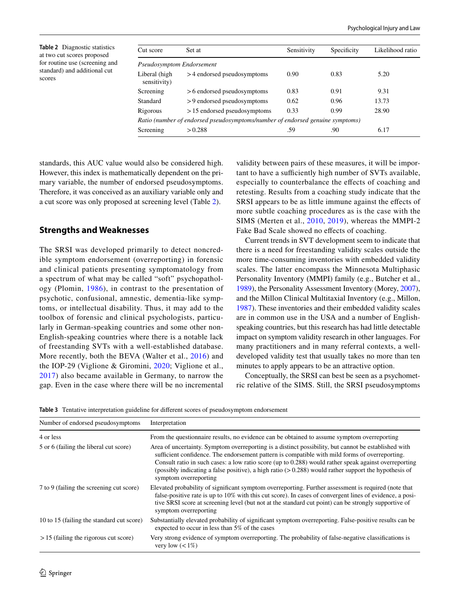<span id="page-5-0"></span>**Table 2** Diagnostic statistics at two cut scores proposed for routine use (screening and standard) and additional cut scores

| Cut score                     | Set at                                                                        | Sensitivity | Specificity | Likelihood ratio |
|-------------------------------|-------------------------------------------------------------------------------|-------------|-------------|------------------|
| Pseudosymptom Endorsement     |                                                                               |             |             |                  |
| Liberal (high<br>sensitivity) | >4 endorsed pseudosymptoms                                                    | 0.90        | 0.83        | 5.20             |
| Screening                     | $> 6$ endorsed pseudosymptoms                                                 | 0.83        | 0.91        | 9.31             |
| Standard                      | >9 endorsed pseudosymptoms                                                    | 0.62        | 0.96        | 13.73            |
| Rigorous                      | $> 15$ endorsed pseudosymptoms                                                | 0.33        | 0.99        | 28.90            |
|                               | Ratio (number of endorsed pseudosymptoms/number of endorsed genuine symptoms) |             |             |                  |
| Screening                     | > 0.288                                                                       | .59         | .90         | 6.17             |

standards, this AUC value would also be considered high. However, this index is mathematically dependent on the primary variable, the number of endorsed pseudosymptoms. Therefore, it was conceived as an auxiliary variable only and a cut score was only proposed at screening level (Table [2](#page-5-0)).

## **Strengths and Weaknesses**

The SRSI was developed primarily to detect noncredible symptom endorsement (overreporting) in forensic and clinical patients presenting symptomatology from a spectrum of what may be called "soft" psychopathology (Plomin, [1986\)](#page-8-25), in contrast to the presentation of psychotic, confusional, amnestic, dementia-like symptoms, or intellectual disability. Thus, it may add to the toolbox of forensic and clinical psychologists, particularly in German-speaking countries and some other non-English-speaking countries where there is a notable lack of freestanding SVTs with a well-established database. More recently, both the BEVA (Walter et al., [2016\)](#page-9-1) and the IOP-29 (Viglione & Giromini, [2020;](#page-9-3) Viglione et al., [2017](#page-9-2)) also became available in Germany, to narrow the gap. Even in the case where there will be no incremental validity between pairs of these measures, it will be important to have a sufficiently high number of SVTs available, especially to counterbalance the efects of coaching and retesting. Results from a coaching study indicate that the SRSI appears to be as little immune against the effects of more subtle coaching procedures as is the case with the SIMS (Merten et al., [2010](#page-8-26), [2019](#page-8-2)), whereas the MMPI-2 Fake Bad Scale showed no effects of coaching.

Current trends in SVT development seem to indicate that there is a need for freestanding validity scales outside the more time-consuming inventories with embedded validity scales. The latter encompass the Minnesota Multiphasic Personality Inventory (MMPI) family (e.g., Butcher et al., [1989](#page-7-12)), the Personality Assessment Inventory (Morey, [2007](#page-8-27)), and the Millon Clinical Multitaxial Inventory (e.g., Millon, [1987](#page-8-28)). These inventories and their embedded validity scales are in common use in the USA and a number of Englishspeaking countries, but this research has had little detectable impact on symptom validity research in other languages. For many practitioners and in many referral contexts, a welldeveloped validity test that usually takes no more than ten minutes to apply appears to be an attractive option.

Conceptually, the SRSI can best be seen as a psychometric relative of the SIMS. Still, the SRSI pseudosymptoms

<span id="page-5-1"></span>**Table 3** Tentative interpretation guideline for diferent scores of pseudosymptom endorsement

| Number of endorsed pseudosymptoms         | Interpretation                                                                                                                                                                                                                                                                                                                                                                                                                                     |
|-------------------------------------------|----------------------------------------------------------------------------------------------------------------------------------------------------------------------------------------------------------------------------------------------------------------------------------------------------------------------------------------------------------------------------------------------------------------------------------------------------|
| 4 or less                                 | From the questionnaire results, no evidence can be obtained to assume symptom overreporting                                                                                                                                                                                                                                                                                                                                                        |
| 5 or 6 (failing the liberal cut score)    | Area of uncertainty. Symptom overreporting is a distinct possibility, but cannot be established with<br>sufficient confidence. The endorsement pattern is compatible with mild forms of overreporting.<br>Consult ratio in such cases: a low ratio score (up to 0.288) would rather speak against overreporting<br>(possibly indicating a false positive), a high ratio $(>0.288)$ would rather support the hypothesis of<br>symptom overreporting |
| 7 to 9 (failing the screening cut score)  | Elevated probability of significant symptom overreporting. Further assessment is required (note that<br>false-positive rate is up to 10% with this cut score). In cases of convergent lines of evidence, a posi-<br>tive SRSI score at screening level (but not at the standard cut point) can be strongly supportive of<br>symptom overreporting                                                                                                  |
| 10 to 15 (failing the standard cut score) | Substantially elevated probability of significant symptom overreporting. False-positive results can be<br>expected to occur in less than 5% of the cases                                                                                                                                                                                                                                                                                           |
| $> 15$ (failing the rigorous cut score)   | Very strong evidence of symptom overreporting. The probability of false-negative classifications is<br>very low $(< 1\%)$                                                                                                                                                                                                                                                                                                                          |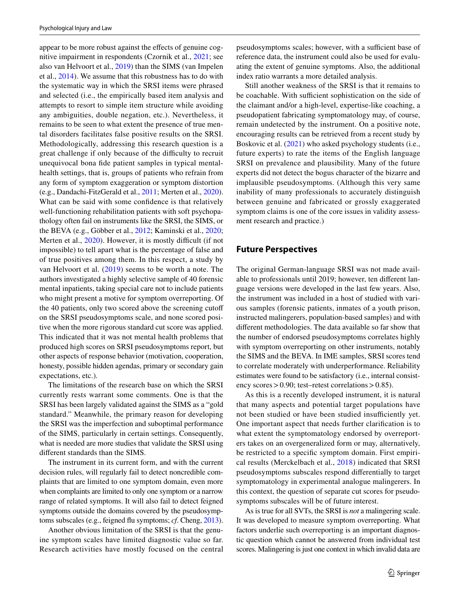appear to be more robust against the efects of genuine cognitive impairment in respondents (Czornik et al., [2021;](#page-7-11) see also van Helvoort et al., [2019](#page-9-5)) than the SIMS (van Impelen et al., [2014\)](#page-9-4). We assume that this robustness has to do with the systematic way in which the SRSI items were phrased and selected (i.e., the empirically based item analysis and attempts to resort to simple item structure while avoiding any ambiguities, double negation, etc.). Nevertheless, it remains to be seen to what extent the presence of true mental disorders facilitates false positive results on the SRSI. Methodologically, addressing this research question is a great challenge if only because of the difficulty to recruit unequivocal bona fde patient samples in typical mentalhealth settings, that is, groups of patients who refrain from any form of symptom exaggeration or symptom distortion (e.g., Dandachi-FitzGerald et al., [2011](#page-7-13); Merten et al., [2020](#page-8-22)). What can be said with some confdence is that relatively well-functioning rehabilitation patients with soft psychopathology often fail on instruments like the SRSI, the SIMS, or the BEVA (e.g., Göbber et al., [2012;](#page-8-29) Kaminski et al., [2020](#page-8-23); Merten et al., [2020\)](#page-8-22). However, it is mostly difficult (if not impossible) to tell apart what is the percentage of false and of true positives among them. In this respect, a study by van Helvoort et al. ([2019](#page-9-5)) seems to be worth a note. The authors investigated a highly selective sample of 40 forensic mental inpatients, taking special care not to include patients who might present a motive for symptom overreporting. Of the 40 patients, only two scored above the screening cutof on the SRSI pseudosymptoms scale, and none scored positive when the more rigorous standard cut score was applied. This indicated that it was not mental health problems that produced high scores on SRSI pseudosymptoms report, but other aspects of response behavior (motivation, cooperation, honesty, possible hidden agendas, primary or secondary gain expectations, etc.).

The limitations of the research base on which the SRSI currently rests warrant some comments. One is that the SRSI has been largely validated against the SIMS as a "gold standard." Meanwhile, the primary reason for developing the SRSI was the imperfection and suboptimal performance of the SIMS, particularly in certain settings. Consequently, what is needed are more studies that validate the SRSI using diferent standards than the SIMS.

The instrument in its current form, and with the current decision rules, will regularly fail to detect noncredible complaints that are limited to one symptom domain, even more when complaints are limited to only one symptom or a narrow range of related symptoms. It will also fail to detect feigned symptoms outside the domains covered by the pseudosymptoms subscales (e.g., feigned fu symptoms; *cf*. Cheng, [2013](#page-7-14)).

Another obvious limitation of the SRSI is that the genuine symptom scales have limited diagnostic value so far. Research activities have mostly focused on the central pseudosymptoms scales; however, with a sufficient base of reference data, the instrument could also be used for evaluating the extent of genuine symptoms. Also, the additional index ratio warrants a more detailed analysis.

Still another weakness of the SRSI is that it remains to be coachable. With sufficient sophistication on the side of the claimant and/or a high-level, expertise-like coaching, a pseudopatient fabricating symptomatology may, of course, remain undetected by the instrument. On a positive note, encouraging results can be retrieved from a recent study by Boskovic et al. [\(2021](#page-7-15)) who asked psychology students (i.e., future experts) to rate the items of the English language SRSI on prevalence and plausibility. Many of the future experts did not detect the bogus character of the bizarre and implausible pseudosymptoms. (Although this very same inability of many professionals to accurately distinguish between genuine and fabricated or grossly exaggerated symptom claims is one of the core issues in validity assessment research and practice.)

# **Future Perspectives**

The original German-language SRSI was not made available to professionals until 2019; however, ten diferent language versions were developed in the last few years. Also, the instrument was included in a host of studied with various samples (forensic patients, inmates of a youth prison, instructed malingerers, population-based samples) and with diferent methodologies. The data available so far show that the number of endorsed pseudosymptoms correlates highly with symptom overreporting on other instruments, notably the SIMS and the BEVA. In IME samples, SRSI scores tend to correlate moderately with underperformance. Reliability estimates were found to be satisfactory (i.e., internal consistency scores  $> 0.90$ ; test–retest correlations  $> 0.85$ ).

As this is a recently developed instrument, it is natural that many aspects and potential target populations have not been studied or have been studied insufficiently yet. One important aspect that needs further clarifcation is to what extent the symptomatology endorsed by overreporters takes on an overgeneralized form or may, alternatively, be restricted to a specifc symptom domain. First empirical results (Merckelbach et al., [2018](#page-8-30)) indicated that SRSI pseudosymptoms subscales respond diferentially to target symptomatology in experimental analogue malingerers. In this context, the question of separate cut scores for pseudosymptoms subscales will be of future interest.

As is true for all SVTs, the SRSI is *not* a malingering scale. It was developed to measure symptom overreporting. What factors underlie such overreporting is an important diagnostic question which cannot be answered from individual test scores. Malingering is just one context in which invalid data are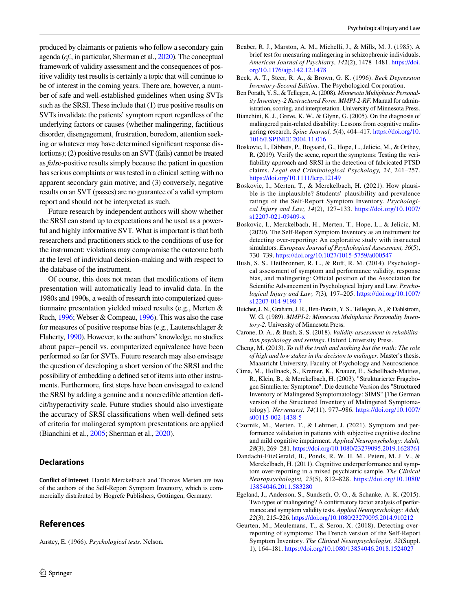produced by claimants or patients who follow a secondary gain agenda (*cf.*, in particular, Sherman et al., [2020](#page-8-31)). The conceptual framework of validity assessment and the consequences of positive validity test results is certainly a topic that will continue to be of interest in the coming years. There are, however, a number of safe and well-established guidelines when using SVTs such as the SRSI. These include that (1) true positive results on SVTs invalidate the patients' symptom report regardless of the underlying factors or causes (whether malingering, factitious disorder, disengagement, frustration, boredom, attention seeking or whatever may have determined signifcant response distortions); (2) positive results on an SVT (fails) cannot be treated

as *fals*e-positive results simply because the patient in question has serious complaints or was tested in a clinical setting with no apparent secondary gain motive; and (3) conversely, negative results on an SVT (passes) are no guarantee of a valid symptom report and should not be interpreted as such.

Future research by independent authors will show whether the SRSI can stand up to expectations and be used as a powerful and highly informative SVT. What is important is that both researchers and practitioners stick to the conditions of use for the instrument; violations may compromise the outcome both at the level of individual decision-making and with respect to the database of the instrument.

Of course, this does not mean that modifcations of item presentation will automatically lead to invalid data. In the 1980s and 1990s, a wealth of research into computerized questionnaire presentation yielded mixed results (e.g., Merten & Ruch, [1996](#page-8-32); Webser & Compeau, [1996](#page-9-6)). This was also the case for measures of positive response bias (e.g., Lautenschlager & Flaherty, [1990](#page-8-33)). However, to the authors' knowledge, no studies about paper–pencil vs. computerized equivalence have been performed so far for SVTs. Future research may also envisage the question of developing a short version of the SRSI and the possibility of embedding a defned set of items into other instruments. Furthermore, frst steps have been envisaged to extend the SRSI by adding a genuine and a noncredible attention defcit/hyperactivity scale. Future studies should also investigate the accuracy of SRSI classifcations when well-defned sets of criteria for malingered symptom presentations are applied (Bianchini et al., [2005](#page-7-16); Sherman et al., [2020\)](#page-8-31).

## **Declarations**

**Conflict of Interest** Harald Merckelbach and Thomas Merten are two of the authors of the Self-Report Symptom Inventory, which is commercially distributed by Hogrefe Publishers, Göttingen, Germany.

# **References**

<span id="page-7-3"></span>Anstey, E. (1966). *Psychological tests.* Nelson.

- <span id="page-7-4"></span>Beaber, R. J., Marston, A. M., Michelli, J., & Mills, M. J. (1985). A brief test for measuring malingering in schizophrenic individuals. *American Journal of Psychiatry, 142*(2), 1478–1481. [https://doi.](https://doi.org/10.1176/ajp.142.12.1478) [org/10.1176/ajp.142.12.1478](https://doi.org/10.1176/ajp.142.12.1478)
- <span id="page-7-10"></span>Beck, A. T., Steer, R. A., & Brown, G. K. (1996). *Beck Depression Inventory-Second Edition*. The Psychological Corporation.
- <span id="page-7-9"></span>Ben Porath, Y. S., & Tellegen, A. (2008). *Minnesota Multiphasic Personality Inventory-2 Restructured Form. MMPI-2-RF.* Manual for administration, scoring, and interpretation. University of Minnesota Press.
- <span id="page-7-16"></span>Bianchini, K. J., Greve, K. W., & Glynn, G. (2005). On the diagnosis of malingered pain-related disability: Lessons from cognitive malingering research. *Spine Journal, 5*(4), 404–417. [https://doi.org/10.](https://doi.org/10.1016/J.SPINEE.2004.11.016) [1016/J.SPINEE.2004.11.016](https://doi.org/10.1016/J.SPINEE.2004.11.016)
- <span id="page-7-5"></span>Boskovic, I., Dibbets, P., Bogaard, G., Hope, L., Jelicic, M., & Orthey, R. (2019). Verify the scene, report the symptoms: Testing the verifability approach and SRSI in the detection of fabricated PTSD claims. *Legal and Criminological Psychology, 24*, 241–257. <https://doi.org/10.1111/lcrp.12149>
- <span id="page-7-15"></span>Boskovic, I., Merten, T., & Merckelbach, H. (2021). How plausible is the implausible? Students' plausibility and prevalence ratings of the Self-Report Symptom Inventory. *Psychological Injury and Law, 14*(2), 127–133. [https://doi.org/10.1007/](https://doi.org/10.1007/s12207-021-09409-x) [s12207-021-09409-x](https://doi.org/10.1007/s12207-021-09409-x)
- <span id="page-7-6"></span>Boskovic, I., Merckelbach, H., Merten, T., Hope, L., & Jelicic, M. (2020). The Self-Report Symptom Inventory as an instrument for detecting over-reporting: An explorative study with instructed simulators. *European Journal of Psychological Assessment, 36*(5), 730–739.<https://doi.org/10.1027/1015-5759/a000547>
- <span id="page-7-0"></span>Bush, S. S., Heilbronner, R. L., & Ruf, R. M. (2014). Psychological assessment of symptom and performance validity, response bias, and malingering: Official position of the Association for Scientifc Advancement in Psychological Injury and Law. *Psychological Injury and Law, 7*(3)*,* 197–205. [https://doi.org/10.1007/](https://doi.org/10.1007/s12207-014-9198-7) [s12207-014-9198-7](https://doi.org/10.1007/s12207-014-9198-7)
- <span id="page-7-12"></span>Butcher, J. N., Graham, J. R., Ben-Porath, Y. S., Tellegen, A., & Dahlstrom, W. G. (1989). *MMPI-2: Minnesota Multiphasic Personality Inventory-2*. University of Minnesota Press.
- <span id="page-7-1"></span>Carone, D. A., & Bush, S. S. (2018). *Validity assessment in rehabilitation psychology and settings*. Oxford University Press.
- <span id="page-7-14"></span>Cheng, M. (2013). *To tell the truth and nothing but the truth: The role of high and low stakes in the decision to malinger*. Master's thesis. Maastricht University, Faculty of Psychology and Neuroscience.
- <span id="page-7-2"></span>Cima, M., Hollnack, S., Kremer, K., Knauer, E., Schellbach-Matties, R., Klein, B., & Merckelbach, H. (2003). "Strukturierter Fragebogen Simulierter Symptome". Die deutsche Version des "Structured Inventory of Malingered Symptomatology: SIMS" [The German version of the Structured Inventory of Malingered Symptomatology]. *Nervenarzt, 74*(11)*,* 977–986. [https://doi.org/10.1007/](https://doi.org/10.1007/s00115-002-1438-5) [s00115-002-1438-5](https://doi.org/10.1007/s00115-002-1438-5)
- <span id="page-7-11"></span>Czornik, M., Merten, T., & Lehrner, J. (2021). Symptom and performance validation in patients with subjective cognitive decline and mild cognitive impairment. *Applied Neuropsychology: Adult, 28*(3), 269–281.<https://doi.org/10.1080/23279095.2019.1628761>
- <span id="page-7-13"></span>Dandachi-FitzGerald, B., Ponds, R. W. H. M., Peters, M. J. V., & Merckelbach, H. (2011). Cognitive underperformance and symptom over-reporting in a mixed psychiatric sample. *The Clinical Neuropsychologist, 25*(5), 812–828. [https://doi.org/10.1080/](https://doi.org/10.1080/13854046.2011.583280) [13854046.2011.583280](https://doi.org/10.1080/13854046.2011.583280)
- <span id="page-7-8"></span>Egeland, J., Anderson, S., Sundseth, O. O., & Schanke, A. K. (2015). Two types of malingering? A confrmatory factor analysis of performance and symptom validity tests. *Applied Neuropsychology: Adult, 22*(3), 215–226.<https://doi.org/10.1080/23279095.2014.910212>
- <span id="page-7-7"></span>Geurten, M., Meulemans, T., & Seron, X. (2018). Detecting overreporting of symptoms: The French version of the Self-Report Symptom Inventory. *The Clinical Neuropsychologist, 32*(Suppl. 1), 164–181. <https://doi.org/10.1080/13854046.2018.1524027>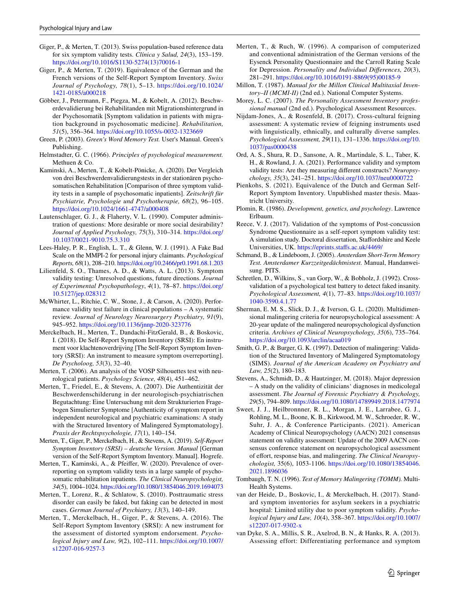- <span id="page-8-14"></span>Giger, P., & Merten, T. (2013). Swiss population-based reference data for six symptom validity tests. *Clínica y Salud, 24*(3), 153–159. [https://doi.org/10.1016/S1130-5274\(13\)70016-1](https://doi.org/10.1016/S1130-5274(13)70016-1)
- <span id="page-8-12"></span>Giger, P., & Merten, T. (2019). Equivalence of the German and the French versions of the Self-Report Symptom Inventory. *Swiss Journal of Psychology, 78*(1), 5–13. [https://doi.org/10.1024/](https://doi.org/10.1024/1421-0185/a000218) [1421-0185/a000218](https://doi.org/10.1024/1421-0185/a000218)
- <span id="page-8-29"></span>Göbber, J., Petermann, F., Piegza, M., & Kobelt, A. (2012). Beschwerdevalidierung bei Rehabilitanden mit Migrationshintergrund in der Psychosomatik [Symptom validation in patients with migration background in psychosomatic medicine]. *Rehabilitation, 51*(5), 356–364.<https://doi.org/10.1055/s-0032-1323669>
- <span id="page-8-17"></span>Green, P. (2003). *Green's Word Memory Test.* User's Manual. Green's Publishing.
- <span id="page-8-6"></span>Helmstadter, G. C. (1966). *Principles of psychological measurement.* Methuen & Co.
- <span id="page-8-23"></span>Kaminski, A., Merten, T., & Kobelt-Pönicke, A. (2020). Der Vergleich von drei Beschwerdenvalidierungstests in der stationären psychosomatischen Rehabilitation [Comparison of three symptom validity tests in a sample of psychosomatic inpatients]. *Zeitschrift für Psychiatrie, Psychologie und Psychotherapie, 68*(2), 96–105. <https://doi.org/10.1024/1661-4747/a000408>
- <span id="page-8-33"></span>Lautenschlager, G. J., & Flaherty, V. L. (1990). Computer administration of questions: More desirable or more social desirability? *Journal of Applied Psychology, 75*(3), 310–314. [https://doi.org/](https://doi.org/10.1037/0021-9010.75.3.310) [10.1037/0021-9010.75.3.310](https://doi.org/10.1037/0021-9010.75.3.310)
- <span id="page-8-7"></span>Lees-Haley, P. R., English, L. T., & Glenn, W. J. (1991). A Fake Bad Scale on the MMPI-2 for personal injury claimants. *Psychological Reports, 68*(1), 208–210.<https://doi.org/10.2466/pr0.1991.68.1.203>
- <span id="page-8-9"></span>Lilienfeld, S. O., Thames, A. D., & Watts, A. L. (2013). Symptom validity testing: Unresolved questions, future directions. *Journal of Experimental Psychopathology*, *4*(1), 78–87. [https://doi.org/](https://doi.org/10.5127/jep.028312) [10.5127/jep.028312](https://doi.org/10.5127/jep.028312)
- <span id="page-8-1"></span>McWhirter, L., Ritchie, C. W., Stone, J., & Carson, A. (2020). Performance validity test failure in clinical populations – A systematic review. *Journal of Neurology Neurosurgery Psychiatry, 91*(9), 945–952.<https://doi.org/10.1136/jnnp-2020-323776>
- <span id="page-8-30"></span>Merckelbach, H., Merten, T., Dandachi-FitzGerald, B., & Boskovic, I. (2018). De Self-Report Symptom Inventory (SRSI): En instrument voor klachtenoverdrijving [The Self-Report Symptom Inventory (SRSI): An instrument to measure symptom overreporting]. *De Psycholoog, 53*(3), 32–40.
- <span id="page-8-5"></span>Merten, T. (2006). An analysis of the VOSP Silhouettes test with neurological patients. *Psychology Science, 48*(4), 451–462.
- <span id="page-8-3"></span>Merten, T., Friedel, E., & Stevens, A. (2007). Die Authentizität der Beschwerdenschilderung in der neurologisch-psychiatrischen Begutachtung: Eine Untersuchung mit dem Strukturierten Fragebogen Simulierter Symptome [Authenticity of symptom report in independent neurological and psychiatric examinations: A study with the Structured Inventory of Malingered Symptomatology]. *Praxis der Rechtspsychologie, 17*(1), 140–154.
- <span id="page-8-2"></span>Merten, T., Giger, P., Merckelbach, H., & Stevens, A. (2019). *Self-Report Symptom Inventory (SRSI) – deutsche Version. Manual* [German version of the Self-Report Symptom Inventory. Manual]. Hogrefe.
- <span id="page-8-22"></span>Merten, T., Kaminski, A., & Pfeifer, W. (2020). Prevalence of overreporting on symptom validity tests in a large sample of psychosomatic rehabilitation inpatients. *The Clinical Neuropsychologist, 34*(5), 1004–1024.<https://doi.org/10.1080/13854046.2019.1694073>
- <span id="page-8-26"></span>Merten, T., Lorenz, R., & Schlatow, S. (2010). Posttraumatic stress disorder can easily be faked, but faking can be detected in most cases. *German Journal of Psychiatry, 13*(3), 140–149.
- <span id="page-8-8"></span>Merten, T., Merckelbach, H., Giger, P., & Stevens, A. (2016). The Self-Report Symptom Inventory (SRSI): A new instrument for the assessment of distorted symptom endorsement. *Psychological Injury and Law, 9*(2), 102–111. [https://doi.org/10.1007/](https://doi.org/10.1007/s12207-016-9257-3) [s12207-016-9257-3](https://doi.org/10.1007/s12207-016-9257-3)
- <span id="page-8-32"></span>Merten, T., & Ruch, W. (1996). A comparison of computerized and conventional administration of the German versions of the Eysenck Personality Questionnaire and the Carroll Rating Scale for Depression. *Personality and Individual Diferences, 20*(3), 281–291. [https://doi.org/10.1016/0191-8869\(95\)00185-9](https://doi.org/10.1016/0191-8869(95)00185-9)
- <span id="page-8-28"></span>Millon, T. (1987). *Manual for the Millon Clinical Multitaxial Inventory–II (MCMI-II)* (2nd ed.). National Computer Systems.
- <span id="page-8-27"></span>Morey, L. C. (2007). *The Personality Assessment Inventory professional manual* (2nd ed.). Psychological Assessment Resources.
- <span id="page-8-10"></span>Nijdam-Jones, A., & Rosenfeld, B. (2017). Cross-cultural feigning assessment: A systematic review of feigning instruments used with linguistically, ethnically, and culturally diverse samples. *Psychological Assessment, 29*(11), 131–1336. [https://doi.org/10.](https://doi.org/10.1037/pas0000438) [1037/pas0000438](https://doi.org/10.1037/pas0000438)
- <span id="page-8-18"></span>Ord, A. S., Shura, R. D., Sansone, A. R., Martindale, S. L., Taber, K. H., & Rowland, J. A. (2021). Performance validity and symptom validity tests: Are they measuring diferent constructs? *Neuropsychology, 35*(3), 241–251.<https://doi.org/10.1037/neu0000722>
- <span id="page-8-13"></span>Pienkohs, S. (2021). Equivalence of the Dutch and German Self-Report Symptom Inventory. Unpublished master thesis. Maastricht University.
- <span id="page-8-25"></span>Plomin, R. (1986). *Development, genetics, and psychology*. Lawrence Erlbaum.
- <span id="page-8-20"></span>Reece, V. J. (2017). Validation of the symptoms of Post-concussion Syndrome Questionnaire as a self-report symptom validity test: A simulation study. Doctoral dissertation, Stafordshire and Keele Universities, UK. [https://eprints.stafs.ac.uk/4469/](https://eprints.staffs.ac.uk/4469/)
- <span id="page-8-15"></span>Schmand, B., & Lindeboom, J. (2005). *Amsterdam Short-Term Memory Test. Amsterdamer Kurzzeitgedächtnistest.* Manual, Handanweisung. PITS.
- <span id="page-8-16"></span>Schretlen, D., Wilkins, S., van Gorp, W., & Bobholz, J. (1992). Crossvalidation of a psychological test battery to detect faked insanity. *Psychological Assessment, 4*(1), 77–83. [https://doi.org/10.1037/](https://doi.org/10.1037/1040-3590.4.1.77) [1040-3590.4.1.77](https://doi.org/10.1037/1040-3590.4.1.77)
- <span id="page-8-31"></span>Sherman, E. M. S., Slick, D. J., & Iverson, G. L. (2020). Multidimensional malingering criteria for neuropsychological assessment: A 20-year update of the malingered neuropsychological dysfunction criteria. *Archives of Clinical Neuropsychology, 35*(6), 735–764. <https://doi.org/10.1093/arclin/acaa019>
- <span id="page-8-4"></span>Smith, G. P., & Burger, G. K. (1997). Detection of malingering: Validation of the Structured Inventory of Malingered Symptomatology (SIMS). *Journal of the American Academy on Psychiatry and Law, 25*(2), 180–183.
- <span id="page-8-24"></span>Stevens, A., Schmidt, D., & Hautzinger, M. (2018). Major depression – A study on the validity of clinicians' diagnoses in medicolegal assessment. *The Journal of Forensic Psychiatry & Psychology, 29*(5), 794–809.<https://doi.org/10.1080/14789949.2018.1477974>
- <span id="page-8-0"></span>Sweet, J. J., Heilbronnner, R. L., Morgan, J. E., Larrabee, G. J., Rohling, M. L., Boone, K. B., Kirkwood, M. W., Schroeder, R. W., Suhr, J. A., & Conference Participants. (2021). American Academy of Clinical Neuropsychology (AACN) 2021 consensus statement on validity assessment: Update of the 2009 AACN consensus conference statement on neuropsychological assessment of effort, response bias, and malingering. The Clinical Neuropsy*chologist,* 35(6), 1053-1106. [https://doi.org/10.1080/13854046.](https://doi.org/10.1080/13854046.2021.1896036) [2021.1896036](https://doi.org/10.1080/13854046.2021.1896036)
- <span id="page-8-21"></span>Tombaugh, T. N. (1996). *Test of Memory Malingering (TOMM).* Multi-Health Systems.
- <span id="page-8-11"></span>van der Heide, D., Boskovic, I., & Merckelbach, H. (2017). Standard symptom inventories for asylum seekers in a psychiatric hospital: Limited utility due to poor symptom validity. *Psychological Injury and Law, 10*(4), 358–367. [https://doi.org/10.1007/](https://doi.org/10.1007/s12207-017-9302-x) [s12207-017-9302-x](https://doi.org/10.1007/s12207-017-9302-x)
- <span id="page-8-19"></span>van Dyke, S. A., Millis, S. R., Axelrod, B. N., & Hanks, R. A. (2013). Assessing effort: Differentiating performance and symptom